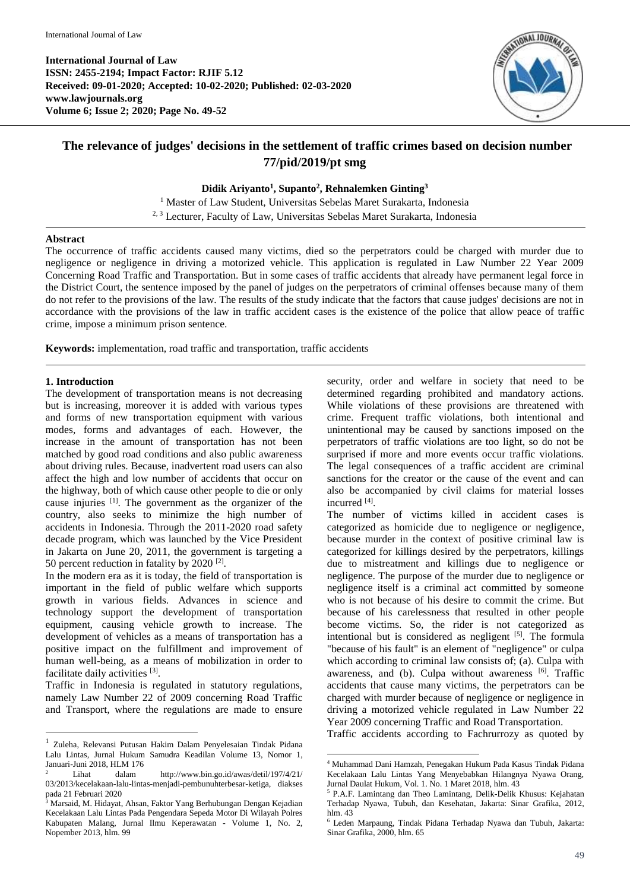

# **The relevance of judges' decisions in the settlement of traffic crimes based on decision number 77/pid/2019/pt smg**

# **Didik Ariyanto<sup>1</sup> , Supanto<sup>2</sup> , Rehnalemken Ginting<sup>3</sup>**

<sup>1</sup> Master of Law Student, Universitas Sebelas Maret Surakarta, Indonesia 2, <sup>3</sup> Lecturer, Faculty of Law, Universitas Sebelas Maret Surakarta, Indonesia

#### **Abstract**

The occurrence of traffic accidents caused many victims, died so the perpetrators could be charged with murder due to negligence or negligence in driving a motorized vehicle. This application is regulated in Law Number 22 Year 2009 Concerning Road Traffic and Transportation. But in some cases of traffic accidents that already have permanent legal force in the District Court, the sentence imposed by the panel of judges on the perpetrators of criminal offenses because many of them do not refer to the provisions of the law. The results of the study indicate that the factors that cause judges' decisions are not in accordance with the provisions of the law in traffic accident cases is the existence of the police that allow peace of traffic crime, impose a minimum prison sentence.

**.** 

**Keywords:** implementation, road traffic and transportation, traffic accidents

#### **1. Introduction**

**.** 

The development of transportation means is not decreasing but is increasing, moreover it is added with various types and forms of new transportation equipment with various modes, forms and advantages of each. However, the increase in the amount of transportation has not been matched by good road conditions and also public awareness about driving rules. Because, inadvertent road users can also affect the high and low number of accidents that occur on the highway, both of which cause other people to die or only cause injuries [1] . The government as the organizer of the country, also seeks to minimize the high number of accidents in Indonesia. Through the 2011-2020 road safety decade program, which was launched by the Vice President in Jakarta on June 20, 2011, the government is targeting a 50 percent reduction in fatality by  $2020$  <sup>[2]</sup>.

In the modern era as it is today, the field of transportation is important in the field of public welfare which supports growth in various fields. Advances in science and technology support the development of transportation equipment, causing vehicle growth to increase. The development of vehicles as a means of transportation has a positive impact on the fulfillment and improvement of human well-being, as a means of mobilization in order to facilitate daily activities [3].

Traffic in Indonesia is regulated in statutory regulations, namely Law Number 22 of 2009 concerning Road Traffic and Transport, where the regulations are made to ensure security, order and welfare in society that need to be determined regarding prohibited and mandatory actions. While violations of these provisions are threatened with crime. Frequent traffic violations, both intentional and unintentional may be caused by sanctions imposed on the perpetrators of traffic violations are too light, so do not be surprised if more and more events occur traffic violations. The legal consequences of a traffic accident are criminal sanctions for the creator or the cause of the event and can also be accompanied by civil claims for material losses incurred [4].

The number of victims killed in accident cases is categorized as homicide due to negligence or negligence, because murder in the context of positive criminal law is categorized for killings desired by the perpetrators, killings due to mistreatment and killings due to negligence or negligence. The purpose of the murder due to negligence or negligence itself is a criminal act committed by someone who is not because of his desire to commit the crime. But because of his carelessness that resulted in other people become victims. So, the rider is not categorized as intentional but is considered as negligent  $[5]$ . The formula "because of his fault" is an element of "negligence" or culpa which according to criminal law consists of; (a). Culpa with awareness, and (b). Culpa without awareness [6]. Traffic accidents that cause many victims, the perpetrators can be charged with murder because of negligence or negligence in driving a motorized vehicle regulated in Law Number 22 Year 2009 concerning Traffic and Road Transportation.

Traffic accidents according to Fachrurrozy as quoted by

<sup>1</sup> Zuleha, Relevansi Putusan Hakim Dalam Penyelesaian Tindak Pidana Lalu Lintas, Jurnal Hukum Samudra Keadilan Volume 13, Nomor 1, Januari-Juni 2018, HLM 176

<sup>2</sup> Lihat dalam http://www.bin.go.id/awas/detil/197/4/21/ 03/2013/kecelakaan-lalu-lintas-menjadi-pembunuhterbesar-ketiga, diakses pada 21 Februari 2020

<sup>3</sup> Marsaid, M. Hidayat, Ahsan, Faktor Yang Berhubungan Dengan Kejadian Kecelakaan Lalu Lintas Pada Pengendara Sepeda Motor Di Wilayah Polres Kabupaten Malang, Jurnal Ilmu Keperawatan - Volume 1, No. 2, Nopember 2013, hlm. 99

<sup>4</sup> Muhammad Dani Hamzah, Penegakan Hukum Pada Kasus Tindak Pidana Kecelakaan Lalu Lintas Yang Menyebabkan Hilangnya Nyawa Orang, Jurnal Daulat Hukum, Vol. 1. No. 1 Maret 2018, hlm. 43

<sup>5</sup> P.A.F. Lamintang dan Theo Lamintang, Delik-Delik Khusus: Kejahatan Terhadap Nyawa, Tubuh, dan Kesehatan, Jakarta: Sinar Grafika, 2012, hlm. 43

<sup>6</sup> Leden Marpaung, Tindak Pidana Terhadap Nyawa dan Tubuh, Jakarta: Sinar Grafika, 2000, hlm. 65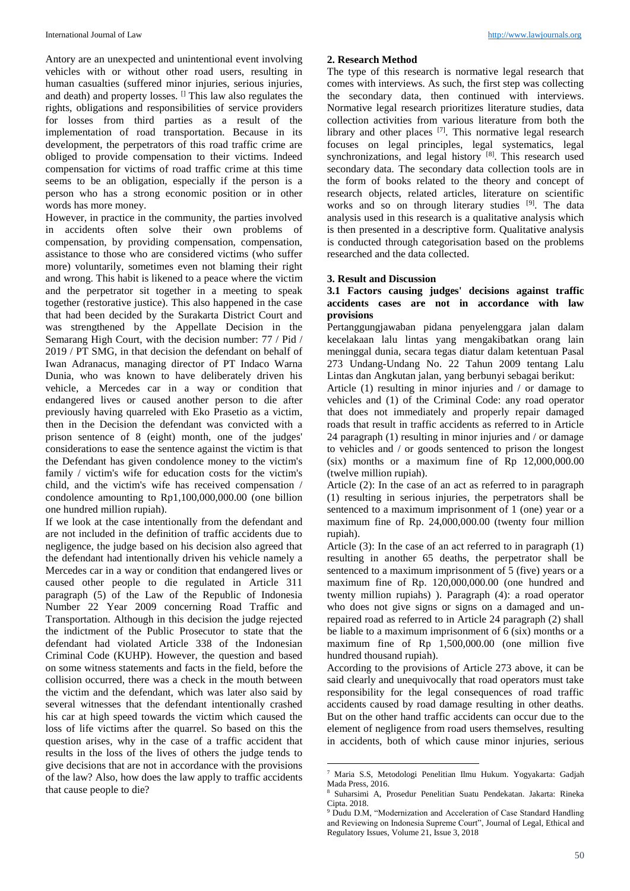Antory are an unexpected and unintentional event involving vehicles with or without other road users, resulting in human casualties (suffered minor injuries, serious injuries, and death) and property losses. <sup>[]</sup> This law also regulates the rights, obligations and responsibilities of service providers for losses from third parties as a result of the implementation of road transportation. Because in its development, the perpetrators of this road traffic crime are obliged to provide compensation to their victims. Indeed compensation for victims of road traffic crime at this time seems to be an obligation, especially if the person is a person who has a strong economic position or in other words has more money.

However, in practice in the community, the parties involved in accidents often solve their own problems of compensation, by providing compensation, compensation, assistance to those who are considered victims (who suffer more) voluntarily, sometimes even not blaming their right and wrong. This habit is likened to a peace where the victim and the perpetrator sit together in a meeting to speak together (restorative justice). This also happened in the case that had been decided by the Surakarta District Court and was strengthened by the Appellate Decision in the Semarang High Court, with the decision number: 77 / Pid / 2019 / PT SMG, in that decision the defendant on behalf of Iwan Adranacus, managing director of PT Indaco Warna Dunia, who was known to have deliberately driven his vehicle, a Mercedes car in a way or condition that endangered lives or caused another person to die after previously having quarreled with Eko Prasetio as a victim, then in the Decision the defendant was convicted with a prison sentence of 8 (eight) month, one of the judges' considerations to ease the sentence against the victim is that the Defendant has given condolence money to the victim's family / victim's wife for education costs for the victim's child, and the victim's wife has received compensation / condolence amounting to Rp1,100,000,000.00 (one billion one hundred million rupiah).

If we look at the case intentionally from the defendant and are not included in the definition of traffic accidents due to negligence, the judge based on his decision also agreed that the defendant had intentionally driven his vehicle namely a Mercedes car in a way or condition that endangered lives or caused other people to die regulated in Article 311 paragraph (5) of the Law of the Republic of Indonesia Number 22 Year 2009 concerning Road Traffic and Transportation. Although in this decision the judge rejected the indictment of the Public Prosecutor to state that the defendant had violated Article 338 of the Indonesian Criminal Code (KUHP). However, the question and based on some witness statements and facts in the field, before the collision occurred, there was a check in the mouth between the victim and the defendant, which was later also said by several witnesses that the defendant intentionally crashed his car at high speed towards the victim which caused the loss of life victims after the quarrel. So based on this the question arises, why in the case of a traffic accident that results in the loss of the lives of others the judge tends to give decisions that are not in accordance with the provisions of the law? Also, how does the law apply to traffic accidents that cause people to die?

#### **2. Research Method**

The type of this research is normative legal research that comes with interviews. As such, the first step was collecting the secondary data, then continued with interviews. Normative legal research prioritizes literature studies, data collection activities from various literature from both the library and other places  $[7]$ . This normative legal research focuses on legal principles, legal systematics, legal synchronizations, and legal history [8]. This research used secondary data. The secondary data collection tools are in the form of books related to the theory and concept of research objects, related articles, literature on scientific works and so on through literary studies <sup>[9]</sup>. The data analysis used in this research is a qualitative analysis which is then presented in a descriptive form. Qualitative analysis is conducted through categorisation based on the problems researched and the data collected.

#### **3. Result and Discussion**

# **3.1 Factors causing judges' decisions against traffic accidents cases are not in accordance with law provisions**

Pertanggungjawaban pidana penyelenggara jalan dalam kecelakaan lalu lintas yang mengakibatkan orang lain meninggal dunia, secara tegas diatur dalam ketentuan Pasal 273 Undang-Undang No. 22 Tahun 2009 tentang Lalu Lintas dan Angkutan jalan, yang berbunyi sebagai berikut:

Article (1) resulting in minor injuries and / or damage to vehicles and (1) of the Criminal Code: any road operator that does not immediately and properly repair damaged roads that result in traffic accidents as referred to in Article 24 paragraph (1) resulting in minor injuries and / or damage to vehicles and / or goods sentenced to prison the longest (six) months or a maximum fine of Rp 12,000,000.00 (twelve million rupiah).

Article (2): In the case of an act as referred to in paragraph (1) resulting in serious injuries, the perpetrators shall be sentenced to a maximum imprisonment of 1 (one) year or a maximum fine of Rp. 24,000,000.00 (twenty four million rupiah).

Article (3): In the case of an act referred to in paragraph (1) resulting in another 65 deaths, the perpetrator shall be sentenced to a maximum imprisonment of 5 (five) years or a maximum fine of Rp. 120,000,000.00 (one hundred and twenty million rupiahs) ). Paragraph (4): a road operator who does not give signs or signs on a damaged and unrepaired road as referred to in Article 24 paragraph (2) shall be liable to a maximum imprisonment of 6 (six) months or a maximum fine of Rp 1,500,000.00 (one million five hundred thousand rupiah).

According to the provisions of Article 273 above, it can be said clearly and unequivocally that road operators must take responsibility for the legal consequences of road traffic accidents caused by road damage resulting in other deaths. But on the other hand traffic accidents can occur due to the element of negligence from road users themselves, resulting in accidents, both of which cause minor injuries, serious

1

<sup>7</sup> Maria S.S, Metodologi Penelitian Ilmu Hukum. Yogyakarta: Gadjah Mada Press, 2016.

<sup>8</sup> Suharsimi A, Prosedur Penelitian Suatu Pendekatan. Jakarta: Rineka Cipta. 2018.

<sup>&</sup>lt;sup>9</sup> Dudu D.M, "Modernization and Acceleration of Case Standard Handling and Reviewing on Indonesia Supreme Court", Journal of Legal, Ethical and Regulatory Issues, Volume 21, Issue 3, 2018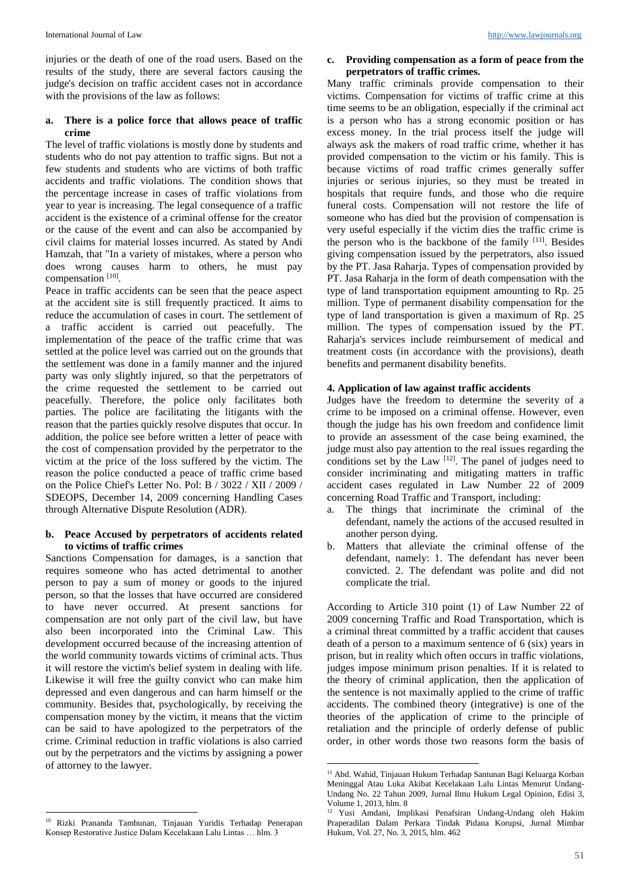injuries or the death of one of the road users. Based on the results of the study, there are several factors causing the judge's decision on traffic accident cases not in accordance with the provisions of the law as follows:

# **a. There is a police force that allows peace of traffic crime**

The level of traffic violations is mostly done by students and students who do not pay attention to traffic signs. But not a few students and students who are victims of both traffic accidents and traffic violations. The condition shows that the percentage increase in cases of traffic violations from year to year is increasing. The legal consequence of a traffic accident is the existence of a criminal offense for the creator or the cause of the event and can also be accompanied by civil claims for material losses incurred. As stated by Andi Hamzah, that "In a variety of mistakes, where a person who does wrong causes harm to others, he must pay compensation [10].

Peace in traffic accidents can be seen that the peace aspect at the accident site is still frequently practiced. It aims to reduce the accumulation of cases in court. The settlement of a traffic accident is carried out peacefully. The implementation of the peace of the traffic crime that was settled at the police level was carried out on the grounds that the settlement was done in a family manner and the injured party was only slightly injured, so that the perpetrators of the crime requested the settlement to be carried out peacefully. Therefore, the police only facilitates both parties. The police are facilitating the litigants with the reason that the parties quickly resolve disputes that occur. In addition, the police see before written a letter of peace with the cost of compensation provided by the perpetrator to the victim at the price of the loss suffered by the victim. The reason the police conducted a peace of traffic crime based on the Police Chief's Letter No. Pol: B / 3022 / XII / 2009 / SDEOPS, December 14, 2009 concerning Handling Cases through Alternative Dispute Resolution (ADR).

#### **b. Peace Accused by perpetrators of accidents related to victims of traffic crimes**

Sanctions Compensation for damages, is a sanction that requires someone who has acted detrimental to another person to pay a sum of money or goods to the injured person, so that the losses that have occurred are considered to have never occurred. At present sanctions for compensation are not only part of the civil law, but have also been incorporated into the Criminal Law. This development occurred because of the increasing attention of the world community towards victims of criminal acts. Thus it will restore the victim's belief system in dealing with life. Likewise it will free the guilty convict who can make him depressed and even dangerous and can harm himself or the community. Besides that, psychologically, by receiving the compensation money by the victim, it means that the victim can be said to have apologized to the perpetrators of the crime. Criminal reduction in traffic violations is also carried out by the perpetrators and the victims by assigning a power of attorney to the lawyer.

**.** 

# **c. Providing compensation as a form of peace from the perpetrators of traffic crimes.**

Many traffic criminals provide compensation to their victims. Compensation for victims of traffic crime at this time seems to be an obligation, especially if the criminal act is a person who has a strong economic position or has excess money. In the trial process itself the judge will always ask the makers of road traffic crime, whether it has provided compensation to the victim or his family. This is because victims of road traffic crimes generally suffer injuries or serious injuries, so they must be treated in hospitals that require funds, and those who die require funeral costs. Compensation will not restore the life of someone who has died but the provision of compensation is very useful especially if the victim dies the traffic crime is the person who is the backbone of the family  $[11]$ . Besides giving compensation issued by the perpetrators, also issued by the PT. Jasa Raharja. Types of compensation provided by PT. Jasa Raharja in the form of death compensation with the type of land transportation equipment amounting to Rp. 25 million. Type of permanent disability compensation for the type of land transportation is given a maximum of Rp. 25 million. The types of compensation issued by the PT. Raharja's services include reimbursement of medical and treatment costs (in accordance with the provisions), death benefits and permanent disability benefits.

# **4. Application of law against traffic accidents**

Judges have the freedom to determine the severity of a crime to be imposed on a criminal offense. However, even though the judge has his own freedom and confidence limit to provide an assessment of the case being examined, the judge must also pay attention to the real issues regarding the conditions set by the Law  $[12]$ . The panel of judges need to consider incriminating and mitigating matters in traffic accident cases regulated in Law Number 22 of 2009 concerning Road Traffic and Transport, including:

- The things that incriminate the criminal of the defendant, namely the actions of the accused resulted in another person dying.
- b. Matters that alleviate the criminal offense of the defendant, namely: 1. The defendant has never been convicted. 2. The defendant was polite and did not complicate the trial.

According to Article 310 point (1) of Law Number 22 of 2009 concerning Traffic and Road Transportation, which is a criminal threat committed by a traffic accident that causes death of a person to a maximum sentence of 6 (six) years in prison, but in reality which often occurs in traffic violations, judges impose minimum prison penalties. If it is related to the theory of criminal application, then the application of the sentence is not maximally applied to the crime of traffic accidents. The combined theory (integrative) is one of the theories of the application of crime to the principle of retaliation and the principle of orderly defense of public order, in other words those two reasons form the basis of

<sup>10</sup> Rizki Prananda Tambunan, Tinjauan Yuridis Terhadap Penerapan Konsep Restorative Justice Dalam Kecelakaan Lalu Lintas … hlm. 3

<sup>1</sup>  $^{11}$  Abd. Wahid, Tinjauan Hukum Terhadap Santunan Bagi Keluarga Korban Meninggal Atau Luka Akibat Kecelakaan Lalu Lintas Menurut Undang-Undang No. 22 Tahun 2009, Jurnal Ilmu Hukum Legal Opinion, Edisi 3, Volume 1, 2013, hlm. 8

<sup>12</sup> Yusi Amdani, Implikasi Penafsiran Undang-Undang oleh Hakim Praperadilan Dalam Perkara Tindak Pidana Korupsi, Jurnal Mimbar Hukum, Vol. 27, No. 3, 2015, hlm. 462